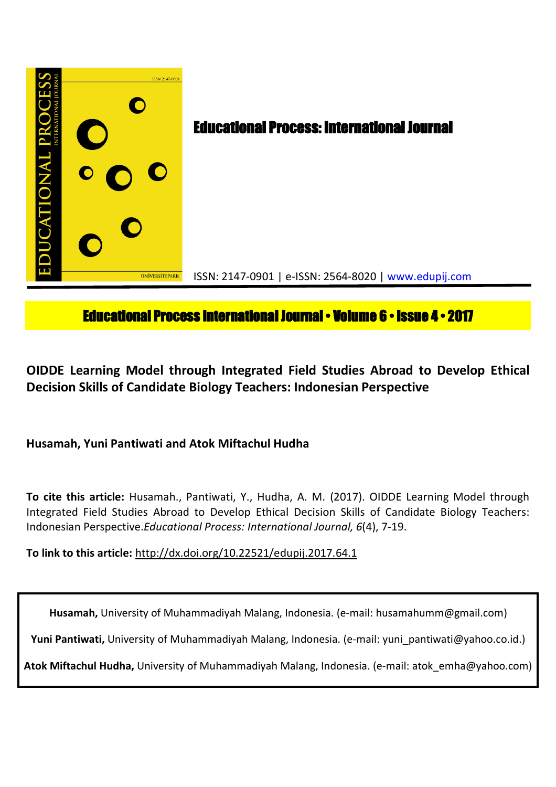

# **Educational Process International Journal • Volume 6 • Issue 4 • 2017**

**OIDDE Learning Model through Integrated Field Studies Abroad to Develop Ethical Decision Skills of Candidate Biology Teachers: Indonesian Perspective**

## **Husamah, Yuni Pantiwati and Atok Miftachul Hudha**

**To cite this article:** Husamah., Pantiwati, Y., Hudha, A. M. (2017). OIDDE Learning Model through Integrated Field Studies Abroad to Develop Ethical Decision Skills of Candidate Biology Teachers: Indonesian Perspective.*Educational Process: International Journal, 6*(4), 7-19.

**To link to this article:** http://dx.doi.org/10.22521/edupij.2017.64.1

**Husamah,** University of Muhammadiyah Malang, Indonesia. (e-mail: husamahumm@gmail.com)

**Yuni Pantiwati,** University of Muhammadiyah Malang, Indonesia. (e-mail: yuni\_pantiwati@yahoo.co.id.)

**Atok Miftachul Hudha,** University of Muhammadiyah Malang, Indonesia. (e-mail: atok\_emha@yahoo.com)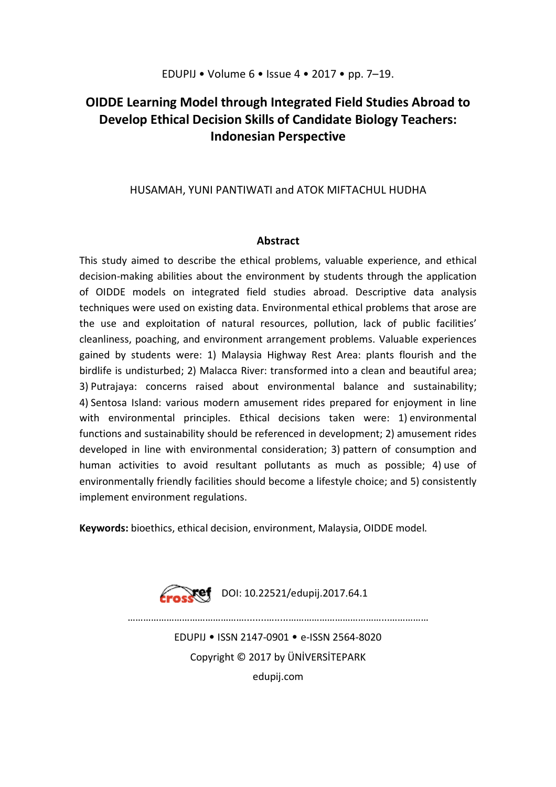## **OIDDE Learning Model through Integrated Field Studies Abroad to Develop Ethical Decision Skills of Candidate Biology Teachers: Indonesian Perspective**

## HUSAMAH, YUNI PANTIWATI and ATOK MIFTACHUL HUDHA

## **Abstract**

This study aimed to describe the ethical problems, valuable experience, and ethical decision-making abilities about the environment by students through the application of OIDDE models on integrated field studies abroad. Descriptive data analysis techniques were used on existing data. Environmental ethical problems that arose are the use and exploitation of natural resources, pollution, lack of public facilities' cleanliness, poaching, and environment arrangement problems. Valuable experiences gained by students were: 1) Malaysia Highway Rest Area: plants flourish and the birdlife is undisturbed; 2) Malacca River: transformed into a clean and beautiful area; 3) Putrajaya: concerns raised about environmental balance and sustainability; 4) Sentosa Island: various modern amusement rides prepared for enjoyment in line with environmental principles. Ethical decisions taken were: 1) environmental functions and sustainability should be referenced in development; 2) amusement rides developed in line with environmental consideration; 3) pattern of consumption and human activities to avoid resultant pollutants as much as possible; 4) use of environmentally friendly facilities should become a lifestyle choice; and 5) consistently implement environment regulations.

**Keywords:** bioethics, ethical decision, environment, Malaysia, OIDDE model.

![](_page_1_Picture_6.jpeg)

………………………………………........….....………………………………...……………

EDUPIJ • ISSN 2147-0901 • e-ISSN 2564-8020 Copyright © 2017 by ÜNİVERSİTEPARK

edupij.com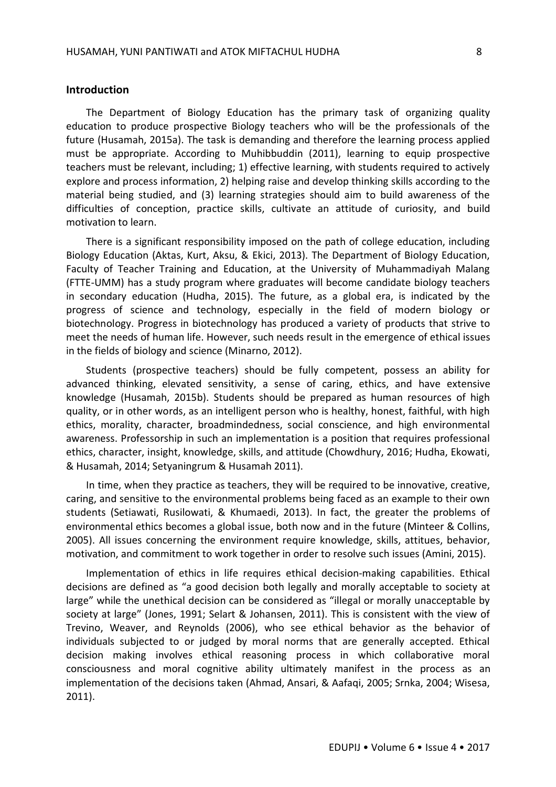#### **Introduction**

The Department of Biology Education has the primary task of organizing quality education to produce prospective Biology teachers who will be the professionals of the future (Husamah, 2015a). The task is demanding and therefore the learning process applied must be appropriate. According to Muhibbuddin (2011), learning to equip prospective teachers must be relevant, including; 1) effective learning, with students required to actively explore and process information, 2) helping raise and develop thinking skills according to the material being studied, and (3) learning strategies should aim to build awareness of the difficulties of conception, practice skills, cultivate an attitude of curiosity, and build motivation to learn.

There is a significant responsibility imposed on the path of college education, including Biology Education (Aktas, Kurt, Aksu, & Ekici, 2013). The Department of Biology Education, Faculty of Teacher Training and Education, at the University of Muhammadiyah Malang (FTTE-UMM) has a study program where graduates will become candidate biology teachers in secondary education (Hudha, 2015). The future, as a global era, is indicated by the progress of science and technology, especially in the field of modern biology or biotechnology. Progress in biotechnology has produced a variety of products that strive to meet the needs of human life. However, such needs result in the emergence of ethical issues in the fields of biology and science (Minarno, 2012).

Students (prospective teachers) should be fully competent, possess an ability for advanced thinking, elevated sensitivity, a sense of caring, ethics, and have extensive knowledge (Husamah, 2015b). Students should be prepared as human resources of high quality, or in other words, as an intelligent person who is healthy, honest, faithful, with high ethics, morality, character, broadmindedness, social conscience, and high environmental awareness. Professorship in such an implementation is a position that requires professional ethics, character, insight, knowledge, skills, and attitude (Chowdhury, 2016; Hudha, Ekowati, & Husamah, 2014; Setyaningrum & Husamah 2011).

In time, when they practice as teachers, they will be required to be innovative, creative, caring, and sensitive to the environmental problems being faced as an example to their own students (Setiawati, Rusilowati, & Khumaedi, 2013). In fact, the greater the problems of environmental ethics becomes a global issue, both now and in the future (Minteer & Collins, 2005). All issues concerning the environment require knowledge, skills, attitues, behavior, motivation, and commitment to work together in order to resolve such issues (Amini, 2015).

Implementation of ethics in life requires ethical decision-making capabilities. Ethical decisions are defined as "a good decision both legally and morally acceptable to society at large" while the unethical decision can be considered as "illegal or morally unacceptable by society at large" (Jones, 1991; Selart & Johansen, 2011). This is consistent with the view of Trevino, Weaver, and Reynolds (2006), who see ethical behavior as the behavior of individuals subjected to or judged by moral norms that are generally accepted. Ethical decision making involves ethical reasoning process in which collaborative moral consciousness and moral cognitive ability ultimately manifest in the process as an implementation of the decisions taken (Ahmad, Ansari, & Aafaqi, 2005; Srnka, 2004; Wisesa, 2011).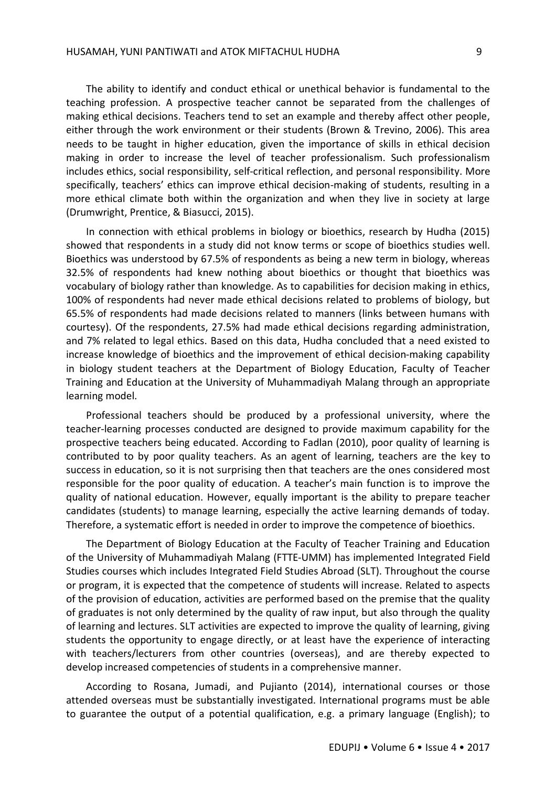The ability to identify and conduct ethical or unethical behavior is fundamental to the teaching profession. A prospective teacher cannot be separated from the challenges of making ethical decisions. Teachers tend to set an example and thereby affect other people, either through the work environment or their students (Brown & Trevino, 2006). This area needs to be taught in higher education, given the importance of skills in ethical decision making in order to increase the level of teacher professionalism. Such professionalism includes ethics, social responsibility, self-critical reflection, and personal responsibility. More specifically, teachers' ethics can improve ethical decision-making of students, resulting in a more ethical climate both within the organization and when they live in society at large (Drumwright, Prentice, & Biasucci, 2015).

In connection with ethical problems in biology or bioethics, research by Hudha (2015) showed that respondents in a study did not know terms or scope of bioethics studies well. Bioethics was understood by 67.5% of respondents as being a new term in biology, whereas 32.5% of respondents had knew nothing about bioethics or thought that bioethics was vocabulary of biology rather than knowledge. As to capabilities for decision making in ethics, 100% of respondents had never made ethical decisions related to problems of biology, but 65.5% of respondents had made decisions related to manners (links between humans with courtesy). Of the respondents, 27.5% had made ethical decisions regarding administration, and 7% related to legal ethics. Based on this data, Hudha concluded that a need existed to increase knowledge of bioethics and the improvement of ethical decision-making capability in biology student teachers at the Department of Biology Education, Faculty of Teacher Training and Education at the University of Muhammadiyah Malang through an appropriate learning model.

Professional teachers should be produced by a professional university, where the teacher-learning processes conducted are designed to provide maximum capability for the prospective teachers being educated. According to Fadlan (2010), poor quality of learning is contributed to by poor quality teachers. As an agent of learning, teachers are the key to success in education, so it is not surprising then that teachers are the ones considered most responsible for the poor quality of education. A teacher's main function is to improve the quality of national education. However, equally important is the ability to prepare teacher candidates (students) to manage learning, especially the active learning demands of today. Therefore, a systematic effort is needed in order to improve the competence of bioethics.

The Department of Biology Education at the Faculty of Teacher Training and Education of the University of Muhammadiyah Malang (FTTE-UMM) has implemented Integrated Field Studies courses which includes Integrated Field Studies Abroad (SLT). Throughout the course or program, it is expected that the competence of students will increase. Related to aspects of the provision of education, activities are performed based on the premise that the quality of graduates is not only determined by the quality of raw input, but also through the quality of learning and lectures. SLT activities are expected to improve the quality of learning, giving students the opportunity to engage directly, or at least have the experience of interacting with teachers/lecturers from other countries (overseas), and are thereby expected to develop increased competencies of students in a comprehensive manner.

According to Rosana, Jumadi, and Pujianto (2014), international courses or those attended overseas must be substantially investigated. International programs must be able to guarantee the output of a potential qualification, e.g. a primary language (English); to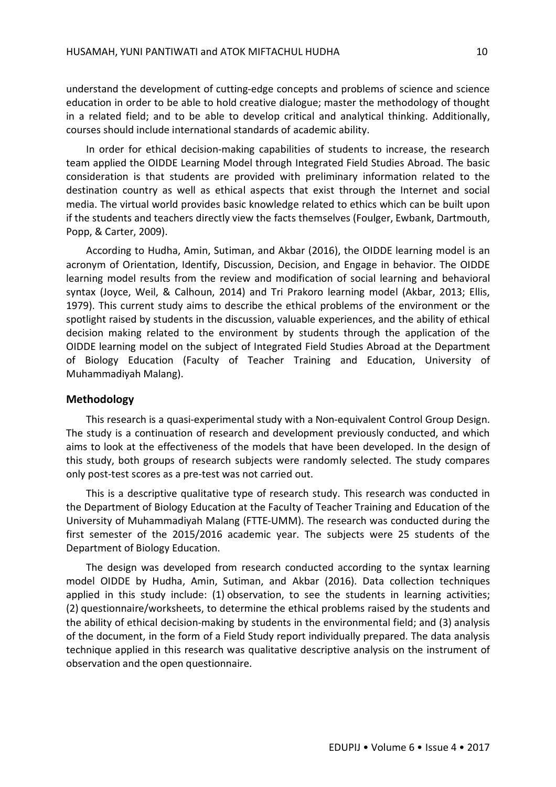understand the development of cutting-edge concepts and problems of science and science education in order to be able to hold creative dialogue; master the methodology of thought in a related field; and to be able to develop critical and analytical thinking. Additionally, courses should include international standards of academic ability.

In order for ethical decision-making capabilities of students to increase, the research team applied the OIDDE Learning Model through Integrated Field Studies Abroad. The basic consideration is that students are provided with preliminary information related to the destination country as well as ethical aspects that exist through the Internet and social media. The virtual world provides basic knowledge related to ethics which can be built upon if the students and teachers directly view the facts themselves (Foulger, Ewbank, Dartmouth, Popp, & Carter, 2009).

According to Hudha, Amin, Sutiman, and Akbar (2016), the OIDDE learning model is an acronym of Orientation, Identify, Discussion, Decision, and Engage in behavior. The OIDDE learning model results from the review and modification of social learning and behavioral syntax (Joyce, Weil, & Calhoun, 2014) and Tri Prakoro learning model (Akbar, 2013; Ellis, 1979). This current study aims to describe the ethical problems of the environment or the spotlight raised by students in the discussion, valuable experiences, and the ability of ethical decision making related to the environment by students through the application of the OIDDE learning model on the subject of Integrated Field Studies Abroad at the Department of Biology Education (Faculty of Teacher Training and Education, University of Muhammadiyah Malang).

#### **Methodology**

This research is a quasi-experimental study with a Non-equivalent Control Group Design. The study is a continuation of research and development previously conducted, and which aims to look at the effectiveness of the models that have been developed. In the design of this study, both groups of research subjects were randomly selected. The study compares only post-test scores as a pre-test was not carried out.

This is a descriptive qualitative type of research study. This research was conducted in the Department of Biology Education at the Faculty of Teacher Training and Education of the University of Muhammadiyah Malang (FTTE-UMM). The research was conducted during the first semester of the 2015/2016 academic year. The subjects were 25 students of the Department of Biology Education.

The design was developed from research conducted according to the syntax learning model OIDDE by Hudha, Amin, Sutiman, and Akbar (2016). Data collection techniques applied in this study include: (1) observation, to see the students in learning activities; (2) questionnaire/worksheets, to determine the ethical problems raised by the students and the ability of ethical decision-making by students in the environmental field; and (3) analysis of the document, in the form of a Field Study report individually prepared. The data analysis technique applied in this research was qualitative descriptive analysis on the instrument of observation and the open questionnaire.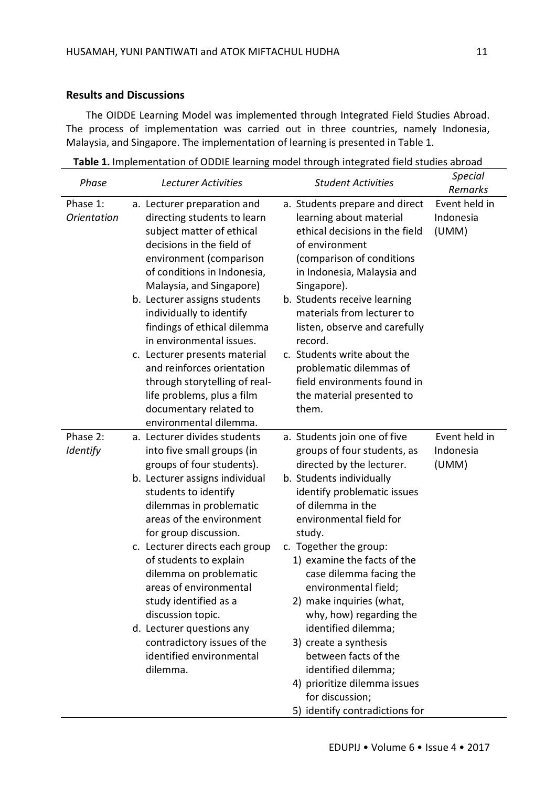### **Results and Discussions**

The OIDDE Learning Model was implemented through Integrated Field Studies Abroad. The process of implementation was carried out in three countries, namely Indonesia, Malaysia, and Singapore. The implementation of learning is presented in Table 1.

**Table 1.** Implementation of ODDIE learning model through integrated field studies abroad

| Phase                          | Lecturer Activities                                                                                                                                                                                                                                                                                                                                                                                                                                                                                                 | <b>Student Activities</b>                                                                                                                                                                                                                                                                                                                                                                                                                                                                                                                                            | <b>Special</b><br>Remarks           |
|--------------------------------|---------------------------------------------------------------------------------------------------------------------------------------------------------------------------------------------------------------------------------------------------------------------------------------------------------------------------------------------------------------------------------------------------------------------------------------------------------------------------------------------------------------------|----------------------------------------------------------------------------------------------------------------------------------------------------------------------------------------------------------------------------------------------------------------------------------------------------------------------------------------------------------------------------------------------------------------------------------------------------------------------------------------------------------------------------------------------------------------------|-------------------------------------|
| Phase 1:<br><b>Orientation</b> | a. Lecturer preparation and<br>directing students to learn<br>subject matter of ethical<br>decisions in the field of<br>environment (comparison<br>of conditions in Indonesia,<br>Malaysia, and Singapore)<br>b. Lecturer assigns students<br>individually to identify<br>findings of ethical dilemma<br>in environmental issues.<br>c. Lecturer presents material<br>and reinforces orientation<br>through storytelling of real-<br>life problems, plus a film<br>documentary related to<br>environmental dilemma. | a. Students prepare and direct<br>learning about material<br>ethical decisions in the field<br>of environment<br>(comparison of conditions<br>in Indonesia, Malaysia and<br>Singapore).<br>b. Students receive learning<br>materials from lecturer to<br>listen, observe and carefully<br>record.<br>c. Students write about the<br>problematic dilemmas of<br>field environments found in<br>the material presented to<br>them.                                                                                                                                     | Event held in<br>Indonesia<br>(UMM) |
| Phase 2:<br>Identify           | a. Lecturer divides students<br>into five small groups (in<br>groups of four students).<br>b. Lecturer assigns individual<br>students to identify<br>dilemmas in problematic<br>areas of the environment<br>for group discussion.<br>c. Lecturer directs each group<br>of students to explain<br>dilemma on problematic<br>areas of environmental<br>study identified as a<br>discussion topic.<br>d. Lecturer questions any<br>contradictory issues of the<br>identified environmental<br>dilemma.                 | a. Students join one of five<br>groups of four students, as<br>directed by the lecturer.<br>b. Students individually<br>identify problematic issues<br>of dilemma in the<br>environmental field for<br>study.<br>c. Together the group:<br>1) examine the facts of the<br>case dilemma facing the<br>environmental field;<br>2) make inquiries (what,<br>why, how) regarding the<br>identified dilemma;<br>3) create a synthesis<br>between facts of the<br>identified dilemma;<br>4) prioritize dilemma issues<br>for discussion;<br>5) identify contradictions for | Event held in<br>Indonesia<br>(UMM) |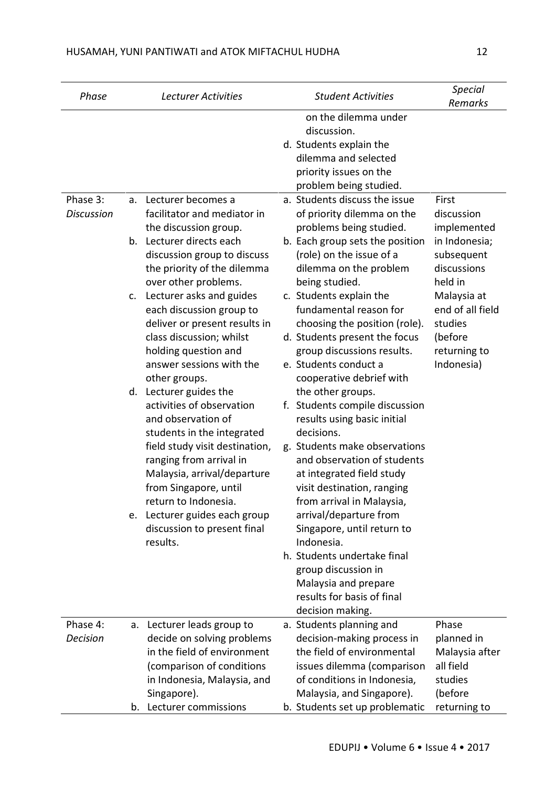| Phase                         |    | Lecturer Activities                                                                                                                                                                                               | <b>Student Activities</b>                                                                                                                                                                                             | <b>Special</b><br>Remarks                                             |
|-------------------------------|----|-------------------------------------------------------------------------------------------------------------------------------------------------------------------------------------------------------------------|-----------------------------------------------------------------------------------------------------------------------------------------------------------------------------------------------------------------------|-----------------------------------------------------------------------|
|                               |    |                                                                                                                                                                                                                   | on the dilemma under<br>discussion.<br>d. Students explain the<br>dilemma and selected<br>priority issues on the<br>problem being studied.                                                                            |                                                                       |
| Phase 3:<br><b>Discussion</b> | a. | Lecturer becomes a<br>facilitator and mediator in                                                                                                                                                                 | a. Students discuss the issue<br>of priority dilemma on the                                                                                                                                                           | First<br>discussion                                                   |
|                               | b. | the discussion group.<br>Lecturer directs each<br>discussion group to discuss<br>the priority of the dilemma<br>over other problems.                                                                              | problems being studied.<br>b. Each group sets the position<br>(role) on the issue of a<br>dilemma on the problem<br>being studied.                                                                                    | implemented<br>in Indonesia;<br>subsequent<br>discussions<br>held in  |
|                               | c. | Lecturer asks and guides<br>each discussion group to<br>deliver or present results in<br>class discussion; whilst<br>holding question and                                                                         | c. Students explain the<br>fundamental reason for<br>choosing the position (role).<br>d. Students present the focus<br>group discussions results.                                                                     | Malaysia at<br>end of all field<br>studies<br>(before<br>returning to |
|                               |    | answer sessions with the<br>other groups.<br>d. Lecturer guides the<br>activities of observation<br>and observation of<br>students in the integrated<br>field study visit destination,<br>ranging from arrival in | e. Students conduct a<br>cooperative debrief with<br>the other groups.<br>f. Students compile discussion<br>results using basic initial<br>decisions.<br>g. Students make observations<br>and observation of students | Indonesia)                                                            |
|                               |    | Malaysia, arrival/departure<br>from Singapore, until<br>return to Indonesia.                                                                                                                                      | at integrated field study<br>visit destination, ranging<br>from arrival in Malaysia,                                                                                                                                  |                                                                       |
|                               | e. | Lecturer guides each group<br>discussion to present final<br>results.                                                                                                                                             | arrival/departure from<br>Singapore, until return to<br>Indonesia.                                                                                                                                                    |                                                                       |
|                               |    |                                                                                                                                                                                                                   | h. Students undertake final<br>group discussion in<br>Malaysia and prepare<br>results for basis of final<br>decision making.                                                                                          |                                                                       |
| Phase 4:                      |    | a. Lecturer leads group to                                                                                                                                                                                        | a. Students planning and                                                                                                                                                                                              | Phase                                                                 |
| <b>Decision</b>               |    | decide on solving problems                                                                                                                                                                                        | decision-making process in                                                                                                                                                                                            | planned in                                                            |
|                               |    | in the field of environment                                                                                                                                                                                       | the field of environmental                                                                                                                                                                                            | Malaysia after                                                        |
|                               |    | (comparison of conditions                                                                                                                                                                                         | issues dilemma (comparison                                                                                                                                                                                            | all field                                                             |
|                               |    | in Indonesia, Malaysia, and<br>Singapore).                                                                                                                                                                        | of conditions in Indonesia,<br>Malaysia, and Singapore).                                                                                                                                                              | studies<br>(before                                                    |
|                               | b. | Lecturer commissions                                                                                                                                                                                              | b. Students set up problematic                                                                                                                                                                                        | returning to                                                          |
|                               |    |                                                                                                                                                                                                                   |                                                                                                                                                                                                                       |                                                                       |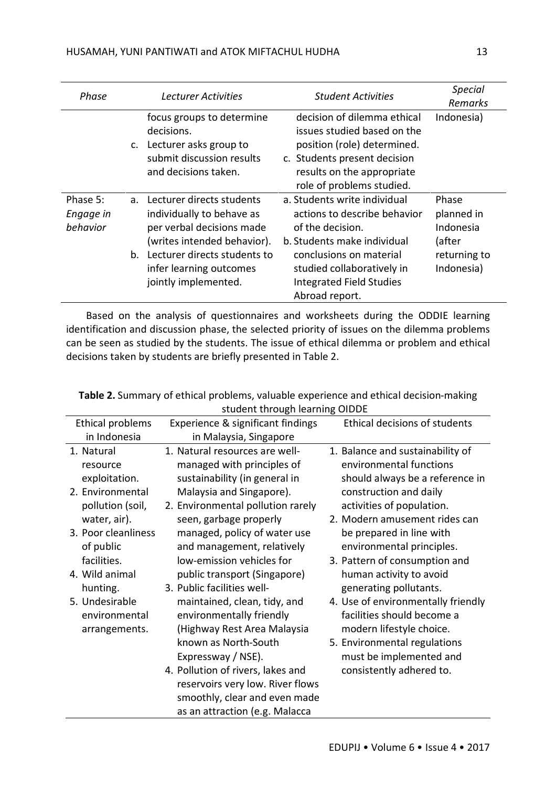| Phase                             | <b>Lecturer Activities</b>                                                                                                                                                                                              | <b>Student Activities</b>                                                                                                                                                                                                     | <b>Special</b><br>Remarks                                                |
|-----------------------------------|-------------------------------------------------------------------------------------------------------------------------------------------------------------------------------------------------------------------------|-------------------------------------------------------------------------------------------------------------------------------------------------------------------------------------------------------------------------------|--------------------------------------------------------------------------|
|                                   | focus groups to determine<br>decisions.<br>Lecturer asks group to<br>$\mathsf{C}$ .<br>submit discussion results<br>and decisions taken.                                                                                | decision of dilemma ethical<br>issues studied based on the<br>position (role) determined.<br>c. Students present decision<br>results on the appropriate<br>role of problems studied.                                          | Indonesia)                                                               |
| Phase 5:<br>Engage in<br>behavior | a. Lecturer directs students<br>individually to behave as<br>per verbal decisions made<br>(writes intended behavior).<br>Lecturer directs students to<br>$b_{\cdot}$<br>infer learning outcomes<br>jointly implemented. | a. Students write individual<br>actions to describe behavior<br>of the decision.<br>b. Students make individual<br>conclusions on material<br>studied collaboratively in<br><b>Integrated Field Studies</b><br>Abroad report. | Phase<br>planned in<br>Indonesia<br>(after<br>returning to<br>Indonesia) |

Based on the analysis of questionnaires and worksheets during the ODDIE learning identification and discussion phase, the selected priority of issues on the dilemma problems can be seen as studied by the students. The issue of ethical dilemma or problem and ethical decisions taken by students are briefly presented in Table 2.

| Stuuttiit tiirougii itariiliig Oibbe |                                   |                                    |  |  |
|--------------------------------------|-----------------------------------|------------------------------------|--|--|
| Ethical problems                     | Experience & significant findings | Ethical decisions of students      |  |  |
| in Indonesia                         | in Malaysia, Singapore            |                                    |  |  |
| 1. Natural                           | 1. Natural resources are well-    | 1. Balance and sustainability of   |  |  |
| resource                             | managed with principles of        | environmental functions            |  |  |
| exploitation.                        | sustainability (in general in     | should always be a reference in    |  |  |
| 2. Environmental                     | Malaysia and Singapore).          | construction and daily             |  |  |
| pollution (soil,                     | 2. Environmental pollution rarely | activities of population.          |  |  |
| water, air).                         | seen, garbage properly            | 2. Modern amusement rides can      |  |  |
| 3. Poor cleanliness                  | managed, policy of water use      | be prepared in line with           |  |  |
| of public                            | and management, relatively        | environmental principles.          |  |  |
| facilities.                          | low-emission vehicles for         | 3. Pattern of consumption and      |  |  |
| 4. Wild animal                       | public transport (Singapore)      | human activity to avoid            |  |  |
| hunting.                             | 3. Public facilities well-        | generating pollutants.             |  |  |
| 5. Undesirable                       | maintained, clean, tidy, and      | 4. Use of environmentally friendly |  |  |
| environmental                        | environmentally friendly          | facilities should become a         |  |  |
| arrangements.                        | (Highway Rest Area Malaysia       | modern lifestyle choice.           |  |  |
|                                      | known as North-South              | 5. Environmental regulations       |  |  |
|                                      | Expressway / NSE).                | must be implemented and            |  |  |
|                                      | 4. Pollution of rivers, lakes and | consistently adhered to.           |  |  |
|                                      | reservoirs very low. River flows  |                                    |  |  |
|                                      | smoothly, clear and even made     |                                    |  |  |
|                                      | as an attraction (e.g. Malacca    |                                    |  |  |

**Table 2.** Summary of ethical problems, valuable experience and ethical decision-making student through learning OIDDE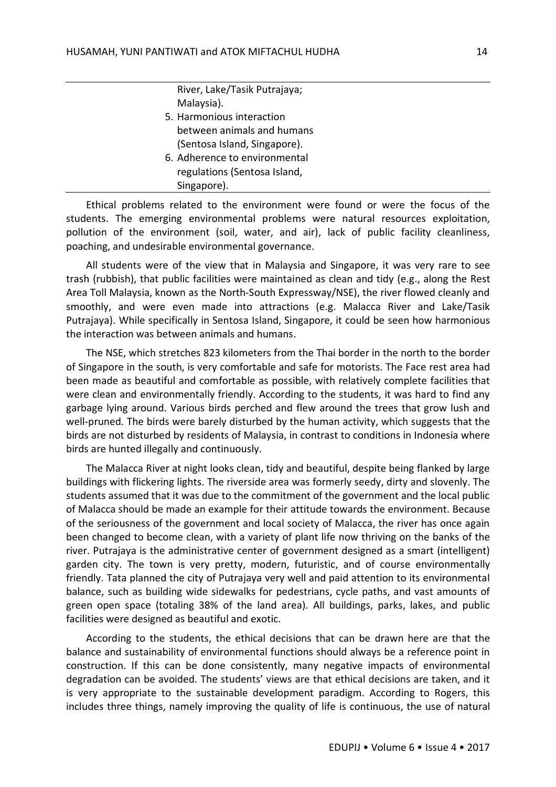River, Lake/Tasik Putrajaya; Malaysia).

- 5. Harmonious interaction between animals and humans (Sentosa Island, Singapore).
- 6. Adherence to environmental regulations (Sentosa Island, Singapore).

Ethical problems related to the environment were found or were the focus of the students. The emerging environmental problems were natural resources exploitation, pollution of the environment (soil, water, and air), lack of public facility cleanliness, poaching, and undesirable environmental governance.

All students were of the view that in Malaysia and Singapore, it was very rare to see trash (rubbish), that public facilities were maintained as clean and tidy (e.g., along the Rest Area Toll Malaysia, known as the North-South Expressway/NSE), the river flowed cleanly and smoothly, and were even made into attractions (e.g. Malacca River and Lake/Tasik Putrajaya). While specifically in Sentosa Island, Singapore, it could be seen how harmonious the interaction was between animals and humans.

The NSE, which stretches 823 kilometers from the Thai border in the north to the border of Singapore in the south, is very comfortable and safe for motorists. The Face rest area had been made as beautiful and comfortable as possible, with relatively complete facilities that were clean and environmentally friendly. According to the students, it was hard to find any garbage lying around. Various birds perched and flew around the trees that grow lush and well-pruned. The birds were barely disturbed by the human activity, which suggests that the birds are not disturbed by residents of Malaysia, in contrast to conditions in Indonesia where birds are hunted illegally and continuously.

The Malacca River at night looks clean, tidy and beautiful, despite being flanked by large buildings with flickering lights. The riverside area was formerly seedy, dirty and slovenly. The students assumed that it was due to the commitment of the government and the local public of Malacca should be made an example for their attitude towards the environment. Because of the seriousness of the government and local society of Malacca, the river has once again been changed to become clean, with a variety of plant life now thriving on the banks of the river. Putrajaya is the administrative center of government designed as a smart (intelligent) garden city. The town is very pretty, modern, futuristic, and of course environmentally friendly. Tata planned the city of Putrajaya very well and paid attention to its environmental balance, such as building wide sidewalks for pedestrians, cycle paths, and vast amounts of green open space (totaling 38% of the land area). All buildings, parks, lakes, and public facilities were designed as beautiful and exotic.

According to the students, the ethical decisions that can be drawn here are that the balance and sustainability of environmental functions should always be a reference point in construction. If this can be done consistently, many negative impacts of environmental degradation can be avoided. The students' views are that ethical decisions are taken, and it is very appropriate to the sustainable development paradigm. According to Rogers, this includes three things, namely improving the quality of life is continuous, the use of natural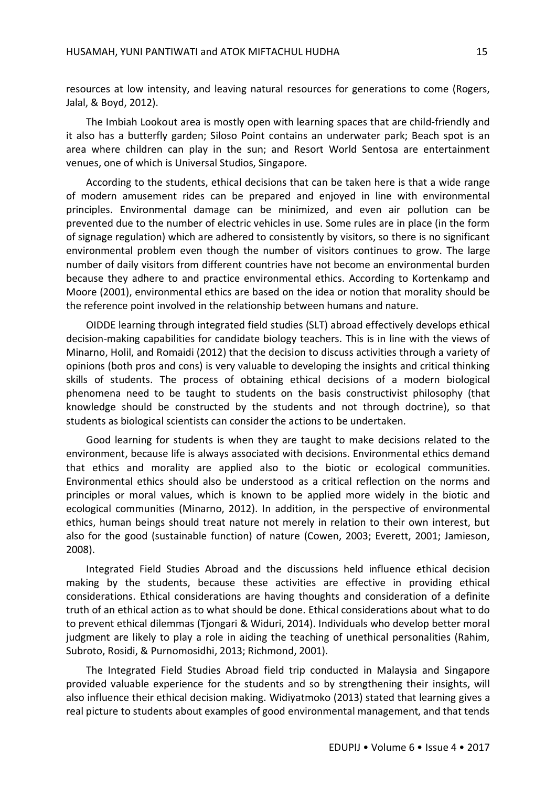resources at low intensity, and leaving natural resources for generations to come (Rogers, Jalal, & Boyd, 2012).

The Imbiah Lookout area is mostly open with learning spaces that are child-friendly and it also has a butterfly garden; Siloso Point contains an underwater park; Beach spot is an area where children can play in the sun; and Resort World Sentosa are entertainment venues, one of which is Universal Studios, Singapore.

According to the students, ethical decisions that can be taken here is that a wide range of modern amusement rides can be prepared and enjoyed in line with environmental principles. Environmental damage can be minimized, and even air pollution can be prevented due to the number of electric vehicles in use. Some rules are in place (in the form of signage regulation) which are adhered to consistently by visitors, so there is no significant environmental problem even though the number of visitors continues to grow. The large number of daily visitors from different countries have not become an environmental burden because they adhere to and practice environmental ethics. According to Kortenkamp and Moore (2001), environmental ethics are based on the idea or notion that morality should be the reference point involved in the relationship between humans and nature.

OIDDE learning through integrated field studies (SLT) abroad effectively develops ethical decision-making capabilities for candidate biology teachers. This is in line with the views of Minarno, Holil, and Romaidi (2012) that the decision to discuss activities through a variety of opinions (both pros and cons) is very valuable to developing the insights and critical thinking skills of students. The process of obtaining ethical decisions of a modern biological phenomena need to be taught to students on the basis constructivist philosophy (that knowledge should be constructed by the students and not through doctrine), so that students as biological scientists can consider the actions to be undertaken.

Good learning for students is when they are taught to make decisions related to the environment, because life is always associated with decisions. Environmental ethics demand that ethics and morality are applied also to the biotic or ecological communities. Environmental ethics should also be understood as a critical reflection on the norms and principles or moral values, which is known to be applied more widely in the biotic and ecological communities (Minarno, 2012). In addition, in the perspective of environmental ethics, human beings should treat nature not merely in relation to their own interest, but also for the good (sustainable function) of nature (Cowen, 2003; Everett, 2001; Jamieson, 2008).

Integrated Field Studies Abroad and the discussions held influence ethical decision making by the students, because these activities are effective in providing ethical considerations. Ethical considerations are having thoughts and consideration of a definite truth of an ethical action as to what should be done. Ethical considerations about what to do to prevent ethical dilemmas (Tjongari & Widuri, 2014). Individuals who develop better moral judgment are likely to play a role in aiding the teaching of unethical personalities (Rahim, Subroto, Rosidi, & Purnomosidhi, 2013; Richmond, 2001).

The Integrated Field Studies Abroad field trip conducted in Malaysia and Singapore provided valuable experience for the students and so by strengthening their insights, will also influence their ethical decision making. Widiyatmoko (2013) stated that learning gives a real picture to students about examples of good environmental management, and that tends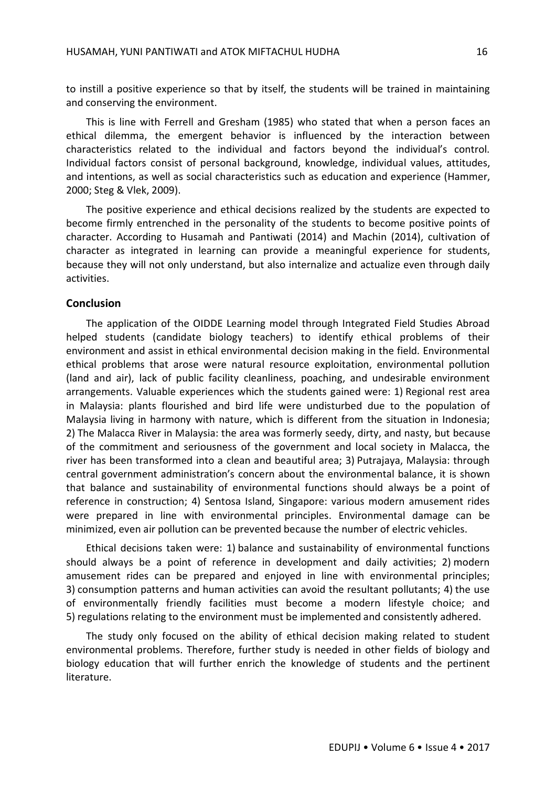to instill a positive experience so that by itself, the students will be trained in maintaining and conserving the environment.

This is line with Ferrell and Gresham (1985) who stated that when a person faces an ethical dilemma, the emergent behavior is influenced by the interaction between characteristics related to the individual and factors beyond the individual's control. Individual factors consist of personal background, knowledge, individual values, attitudes, and intentions, as well as social characteristics such as education and experience (Hammer, 2000; Steg & Vlek, 2009).

The positive experience and ethical decisions realized by the students are expected to become firmly entrenched in the personality of the students to become positive points of character. According to Husamah and Pantiwati (2014) and Machin (2014), cultivation of character as integrated in learning can provide a meaningful experience for students, because they will not only understand, but also internalize and actualize even through daily activities.

#### **Conclusion**

The application of the OIDDE Learning model through Integrated Field Studies Abroad helped students (candidate biology teachers) to identify ethical problems of their environment and assist in ethical environmental decision making in the field. Environmental ethical problems that arose were natural resource exploitation, environmental pollution (land and air), lack of public facility cleanliness, poaching, and undesirable environment arrangements. Valuable experiences which the students gained were: 1) Regional rest area in Malaysia: plants flourished and bird life were undisturbed due to the population of Malaysia living in harmony with nature, which is different from the situation in Indonesia; 2) The Malacca River in Malaysia: the area was formerly seedy, dirty, and nasty, but because of the commitment and seriousness of the government and local society in Malacca, the river has been transformed into a clean and beautiful area; 3) Putrajaya, Malaysia: through central government administration's concern about the environmental balance, it is shown that balance and sustainability of environmental functions should always be a point of reference in construction; 4) Sentosa Island, Singapore: various modern amusement rides were prepared in line with environmental principles. Environmental damage can be minimized, even air pollution can be prevented because the number of electric vehicles.

Ethical decisions taken were: 1) balance and sustainability of environmental functions should always be a point of reference in development and daily activities; 2) modern amusement rides can be prepared and enjoyed in line with environmental principles; 3) consumption patterns and human activities can avoid the resultant pollutants; 4) the use of environmentally friendly facilities must become a modern lifestyle choice; and 5) regulations relating to the environment must be implemented and consistently adhered.

The study only focused on the ability of ethical decision making related to student environmental problems. Therefore, further study is needed in other fields of biology and biology education that will further enrich the knowledge of students and the pertinent literature.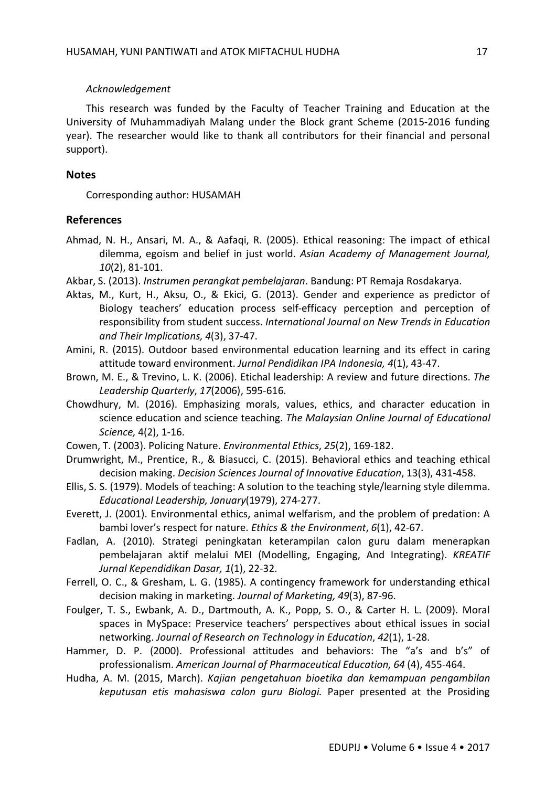#### *Acknowledgement*

This research was funded by the Faculty of Teacher Training and Education at the University of Muhammadiyah Malang under the Block grant Scheme (2015-2016 funding year). The researcher would like to thank all contributors for their financial and personal support).

#### **Notes**

Corresponding author: HUSAMAH

#### **References**

- Ahmad, N. H., Ansari, M. A., & Aafaqi, R. (2005). Ethical reasoning: The impact of ethical dilemma, egoism and belief in just world. *Asian Academy of Management Journal, 10*(2), 81-101.
- Akbar, S. (2013). *Instrumen perangkat pembelajaran*. Bandung: PT Remaja Rosdakarya.
- Aktas, M., Kurt, H., Aksu, O., & Ekici, G. (2013). Gender and experience as predictor of Biology teachers' education process self-efficacy perception and perception of responsibility from student success. *International Journal on New Trends in Education and Their Implications, 4*(3), 37-47.
- Amini, R. (2015). Outdoor based environmental education learning and its effect in caring attitude toward environment. *Jurnal Pendidikan IPA Indonesia, 4*(1), 43-47.
- Brown, M. E., & Trevino, L. K. (2006). Etichal leadership: A review and future directions. *The Leadership Quarterly*, *17*(2006), 595-616.
- Chowdhury, M. (2016). Emphasizing morals, values, ethics, and character education in science education and science teaching. *The Malaysian Online Journal of Educational Science,* 4(2), 1-16.
- Cowen, T. (2003). Policing Nature. *Environmental Ethics*, *25*(2), 169-182.
- Drumwright, M., Prentice, R., & Biasucci, C. (2015). Behavioral ethics and teaching ethical decision making. *Decision Sciences Journal of Innovative Education*, 13(3), 431-458.
- Ellis, S. S. (1979). Models of teaching: A solution to the teaching style/learning style dilemma. *Educational Leadership, January*(1979), 274-277.
- Everett, J. (2001). Environmental ethics, animal welfarism, and the problem of predation: A bambi lover's respect for nature. *Ethics & the Environment*, *6*(1), 42-67.
- Fadlan, A. (2010). Strategi peningkatan keterampilan calon guru dalam menerapkan pembelajaran aktif melalui MEI (Modelling, Engaging, And Integrating). *KREATIF Jurnal Kependidikan Dasar, 1*(1), 22-32.
- Ferrell, O. C., & Gresham, L. G. (1985). A contingency framework for understanding ethical decision making in marketing. *Journal of Marketing, 49*(3), 87-96.
- Foulger, T. S., Ewbank, A. D., Dartmouth, A. K., Popp, S. O., & Carter H. L. (2009). Moral spaces in MySpace: Preservice teachers' perspectives about ethical issues in social networking. *Journal of Research on Technology in Education*, *42*(1), 1-28.
- Hammer, D. P. (2000). Professional attitudes and behaviors: The "a's and b's" of professionalism. *American Journal of Pharmaceutical Education, 64* (4), 455-464.
- Hudha, A. M. (2015, March). *Kajian pengetahuan bioetika dan kemampuan pengambilan keputusan etis mahasiswa calon guru Biologi.* Paper presented at the Prosiding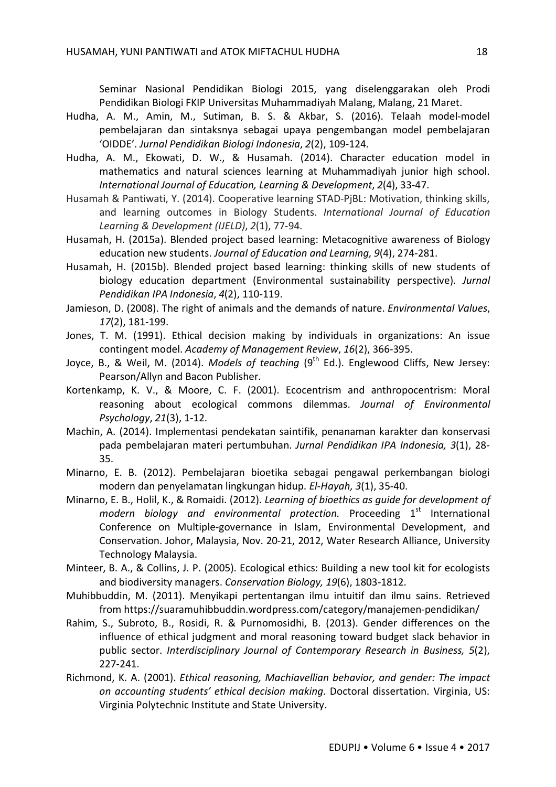Seminar Nasional Pendidikan Biologi 2015, yang diselenggarakan oleh Prodi Pendidikan Biologi FKIP Universitas Muhammadiyah Malang, Malang, 21 Maret.

- Hudha, A. M., Amin, M., Sutiman, B. S. & Akbar, S. (2016). Telaah model-model pembelajaran dan sintaksnya sebagai upaya pengembangan model pembelajaran 'OIDDE'. *Jurnal Pendidikan Biologi Indonesia*, *2*(2), 109-124.
- Hudha, A. M., Ekowati, D. W., & Husamah. (2014). Character education model in mathematics and natural sciences learning at Muhammadiyah junior high school. *International Journal of Education, Learning & Development*, *2*(4), 33-47.
- Husamah & Pantiwati, Y. (2014). Cooperative learning STAD-PjBL: Motivation, thinking skills, and learning outcomes in Biology Students. *International Journal of Education Learning & Development (IJELD)*, *2*(1), 77-94.
- Husamah, H. (2015a). Blended project based learning: Metacognitive awareness of Biology education new students. *Journal of Education and Learning, 9*(4), 274-281.
- Husamah, H. (2015b). Blended project based learning: thinking skills of new students of biology education department (Environmental sustainability perspective). *Jurnal Pendidikan IPA Indonesia*, *4*(2), 110-119.
- Jamieson, D. (2008). The right of animals and the demands of nature. *Environmental Values*, *17*(2), 181-199.
- Jones, T. M. (1991). Ethical decision making by individuals in organizations: An issue contingent model. *Academy of Management Review*, *16*(2), 366-395.
- Joyce, B., & Weil, M. (2014). *Models of teaching* (9<sup>th</sup> Ed.). Englewood Cliffs, New Jersey: Pearson/Allyn and Bacon Publisher.
- Kortenkamp, K. V., & Moore, C. F. (2001). Ecocentrism and anthropocentrism: Moral reasoning about ecological commons dilemmas. *Journal of Environmental Psychology*, *21*(3), 1-12.
- Machin, A. (2014). Implementasi pendekatan saintifik, penanaman karakter dan konservasi pada pembelajaran materi pertumbuhan. *Jurnal Pendidikan IPA Indonesia, 3*(1), 28- 35.
- Minarno, E. B. (2012). Pembelajaran bioetika sebagai pengawal perkembangan biologi modern dan penyelamatan lingkungan hidup. *El-Hayah, 3*(1), 35-40.
- Minarno, E. B., Holil, K., & Romaidi. (2012). *Learning of bioethics as guide for development of*  modern biology and environmental protection. Proceeding 1<sup>st</sup> International Conference on Multiple-governance in Islam, Environmental Development, and Conservation. Johor, Malaysia, Nov. 20-21, 2012, Water Research Alliance, University Technology Malaysia.
- Minteer, B. A., & Collins, J. P. (2005). Ecological ethics: Building a new tool kit for ecologists and biodiversity managers. *Conservation Biology, 19*(6), 1803-1812.
- Muhibbuddin, M. (2011). Menyikapi pertentangan ilmu intuitif dan ilmu sains. Retrieved from https://suaramuhibbuddin.wordpress.com/category/manajemen-pendidikan/
- Rahim, S., Subroto, B., Rosidi, R. & Purnomosidhi, B. (2013). Gender differences on the influence of ethical judgment and moral reasoning toward budget slack behavior in public sector. *Interdisciplinary Journal of Contemporary Research in Business, 5*(2), 227-241.
- Richmond, K. A. (2001). *Ethical reasoning, Machiavellian behavior, and gender: The impact on accounting students' ethical decision making.* Doctoral dissertation. Virginia, US: Virginia Polytechnic Institute and State University.